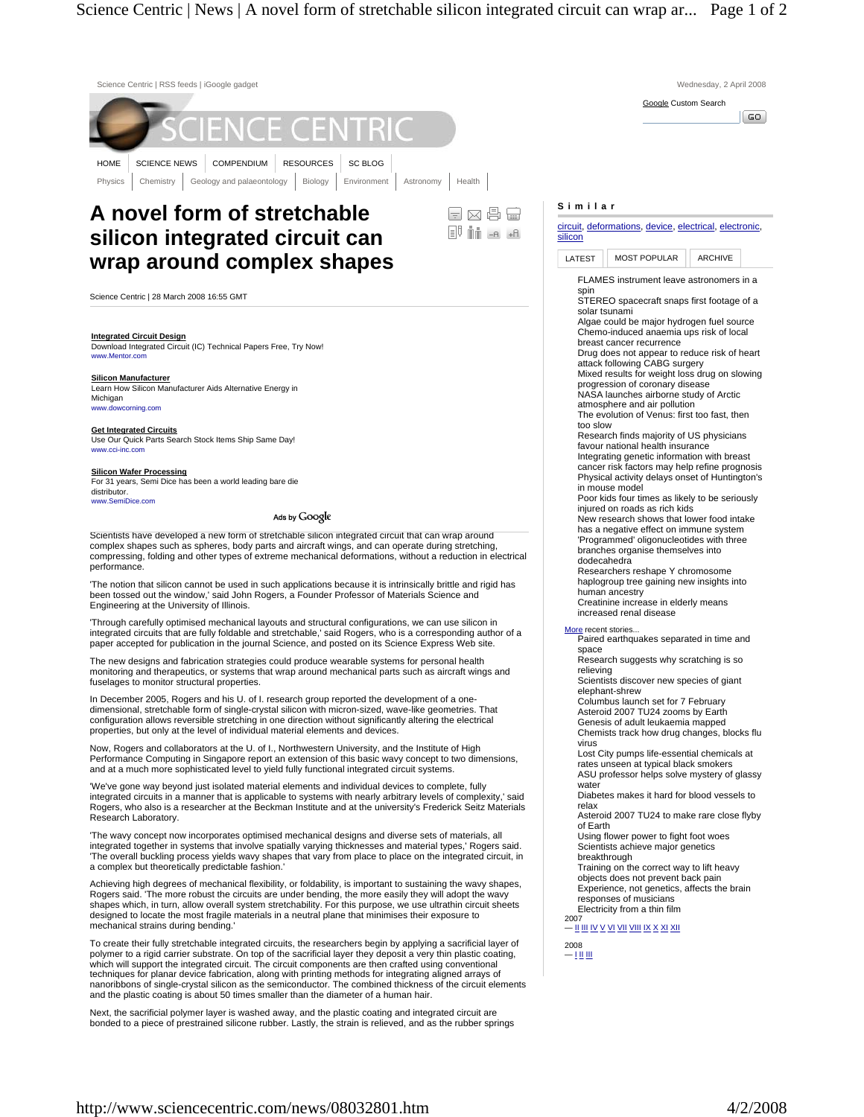